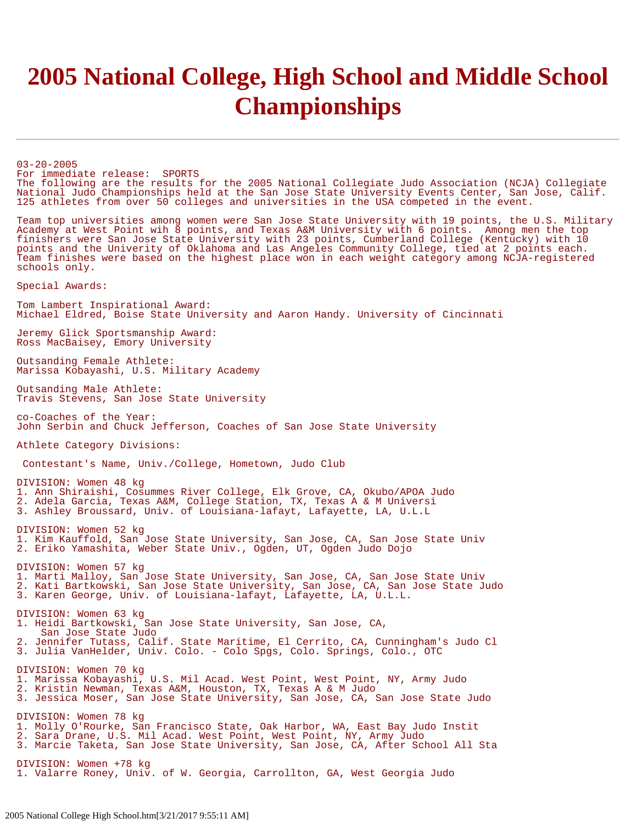## **2005 National College, High School and Middle School Championships**

03-20-2005 For immediate release: SPORTS The following are the results for the 2005 National Collegiate Judo Association (NCJA) Collegiate National Judo Championships held at the San Jose State University Events Center, San Jose, Calif.<br>125 athletes from over 50 colleges and universities in the USA competed in the event.

Team top universities among women were San Jose State University with 19 points, the U.S. Military Academy at West Point wih 8 points, and Texas A&M University with 6 points. Among men the top finishers were San Jose State University with 23 points, Cumberland College (Kentucky) with 10 points and the Univerity of Oklahoma and Las Angeles Community College, tied at 2 points each. Team finishes were based on the highest place won in each weight category among NCJA-registered schools only.

Special Awards:

Tom Lambert Inspirational Award: Michael Eldred, Boise State University and Aaron Handy. University of Cincinnati

Jeremy Glick Sportsmanship Award: Ross MacBaisey, Emory University

Outsanding Female Athlete: Marissa Kobayashi, U.S. Military Academy

Outsanding Male Athlete: Travis Stevens, San Jose State University

co-Coaches of the Year: John Serbin and Chuck Jefferson, Coaches of San Jose State University

Athlete Category Divisions:

Contestant's Name, Univ./College, Hometown, Judo Club

DIVISION: Women 48 kg 1. Ann Shiraishi, Cosummes River College, Elk Grove, CA, Okubo/APOA Judo 2. Adela Garcia, Texas A&M, College Station, TX, Texas A & M Universi 3. Ashley Broussard, Univ. of Louisiana-lafayt, Lafayette, LA, U.L.L

DIVISION: Women 52 kg 1. Kim Kauffold, San Jose State University, San Jose, CA, San Jose State Univ 2. Eriko Yamashita, Weber State Univ., Ogden, UT, Ogden Judo Dojo

DIVISION: Women 57 kg 1. Marti Malloy, San Jose State University, San Jose, CA, San Jose State Univ 2. Kati Bartkowski, San Jose State University, San Jose, CA, San Jose State Judo 3. Karen George, Univ. of Louisiana-lafayt, Lafayette, LA, U.L.L.

DIVISION: Women 63 kg 1. Heidi Bartkowski, San Jose State University, San Jose, CA, San Jose State Judo 2. Jennifer Tutass, Calif. State Maritime, El Cerrito, CA, Cunningham's Judo Cl 3. Julia VanHelder, Univ. Colo. - Colo Spgs, Colo. Springs, Colo., OTC DIVISION: Women 70 kg 1. Marissa Kobayashi, U.S. Mil Acad. West Point, West Point, NY, Army Judo 2. Kristin Newman, Texas A&M, Houston, TX, Texas A & M Judo 3. Jessica Moser, San Jose State University, San Jose, CA, San Jose State Judo DIVISION: Women 78 kg 1. Molly O'Rourke, San Francisco State, Oak Harbor, WA, East Bay Judo Instit 2. Sara Drane, U.S. Mil Acad. West Point, West Point, NY, Army Judo 3. Marcie Taketa, San Jose State University, San Jose, CA, After School All Sta DIVISION: Women +78 kg

1. Valarre Roney, Univ. of W. Georgia, Carrollton, GA, West Georgia Judo